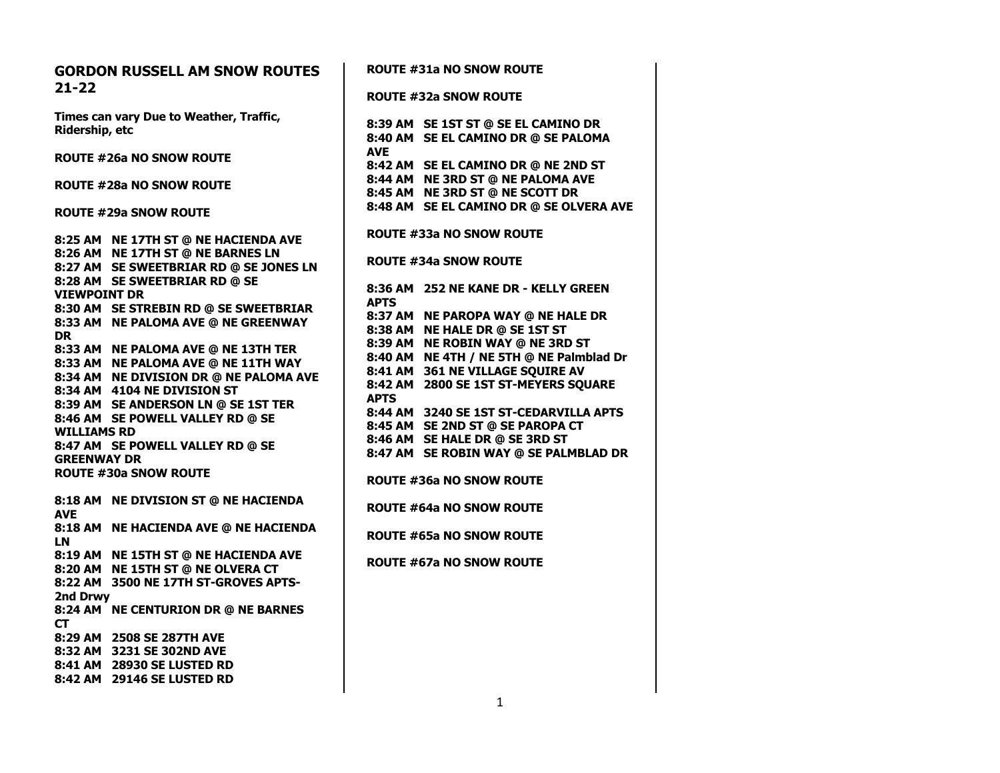| <b>GORDON RUSSELL AM SNOW ROUTES</b><br>$21 - 22$ | <b>ROUTE #31a NO SNOW ROUTE</b>          |
|---------------------------------------------------|------------------------------------------|
|                                                   | <b>ROUTE #32a SNOW ROUTE</b>             |
| Times can vary Due to Weather, Traffic,           | 8:39 AM SE 1ST ST @ SE EL CAMINO DR      |
| Ridership, etc                                    | 8:40 AM SE EL CAMINO DR @ SE PALOMA      |
|                                                   | <b>AVE</b>                               |
| <b>ROUTE #26a NO SNOW ROUTE</b>                   | 8:42 AM SE EL CAMINO DR @ NE 2ND ST      |
|                                                   | 8:44 AM NE 3RD ST @ NE PALOMA AVE        |
| ROUTE #28a NO SNOW ROUTE                          | 8:45 AM NE 3RD ST @ NE SCOTT DR          |
|                                                   | 8:48 AM SE EL CAMINO DR @ SE OLVERA AVE  |
| <b>ROUTE #29a SNOW ROUTE</b>                      |                                          |
|                                                   | ROUTE #33a NO SNOW ROUTE                 |
| 8:25 AM NE 17TH ST @ NE HACIENDA AVE              |                                          |
| 8:26 AM NE 17TH ST @ NE BARNES LN                 | <b>ROUTE #34a SNOW ROUTE</b>             |
| 8:27 AM SE SWEETBRIAR RD @ SE JONES LN            |                                          |
| 8:28 AM SE SWEETBRIAR RD @ SE                     | 8:36 AM 252 NE KANE DR - KELLY GREEN     |
| <b>VIEWPOINT DR</b>                               | <b>APTS</b>                              |
| 8:30 AM SE STREBIN RD @ SE SWEETBRIAR             | 8:37 AM NE PAROPA WAY @ NE HALE DR       |
| 8:33 AM NE PALOMA AVE @ NE GREENWAY               | 8:38 AM NE HALE DR @ SE 1ST ST           |
| DR.                                               | 8:39 AM NE ROBIN WAY @ NE 3RD ST         |
| 8:33 AM NE PALOMA AVE @ NE 13TH TER               | 8:40 AM NE 4TH / NE 5TH @ NE Palmblad Dr |
| 8:33 AM NE PALOMA AVE @ NE 11TH WAY               | 8:41 AM 361 NE VILLAGE SQUIRE AV         |
| 8:34 AM NE DIVISION DR @ NE PALOMA AVE            | 8:42 AM 2800 SE 1ST ST-MEYERS SQUARE     |
| 8:34 AM 4104 NE DIVISION ST                       | <b>APTS</b>                              |
| 8:39 AM SE ANDERSON LN @ SE 1ST TER               | 8:44 AM 3240 SE 1ST ST-CEDARVILLA APTS   |
| 8:46 AM SE POWELL VALLEY RD @ SE                  | 8:45 AM SE 2ND ST @ SE PAROPA CT         |
| <b>WILLIAMS RD</b>                                | 8:46 AM SE HALE DR @ SE 3RD ST           |
| 8:47 AM SE POWELL VALLEY RD @ SE                  | 8:47 AM SE ROBIN WAY @ SE PALMBLAD DR    |
| <b>GREENWAY DR</b>                                |                                          |
| <b>ROUTE #30a SNOW ROUTE</b>                      | <b>ROUTE #36a NO SNOW ROUTE</b>          |
| 8:18 AM NE DIVISION ST @ NE HACIENDA              |                                          |
| <b>AVE</b>                                        | <b>ROUTE #64a NO SNOW ROUTE</b>          |
| 8:18 AM NE HACIENDA AVE @ NE HACIENDA             |                                          |
| LN                                                | <b>ROUTE #65a NO SNOW ROUTE</b>          |
| 8:19 AM NE 15TH ST @ NE HACIENDA AVE              |                                          |
| 8:20 AM NE 15TH ST @ NE OLVERA CT                 | <b>ROUTE #67a NO SNOW ROUTE</b>          |
| 8:22 AM 3500 NE 17TH ST-GROVES APTS-              |                                          |
| 2nd Drwy                                          |                                          |
| 8:24 AM NE CENTURION DR @ NE BARNES               |                                          |
| <b>CT</b>                                         |                                          |
| 8:29 AM 2508 SE 287TH AVE                         |                                          |
| 8:32 AM 3231 SE 302ND AVE                         |                                          |
| 8:41 AM 28930 SE LUSTED RD                        |                                          |
| 8:42 AM 29146 SE LUSTED RD                        |                                          |
|                                                   |                                          |